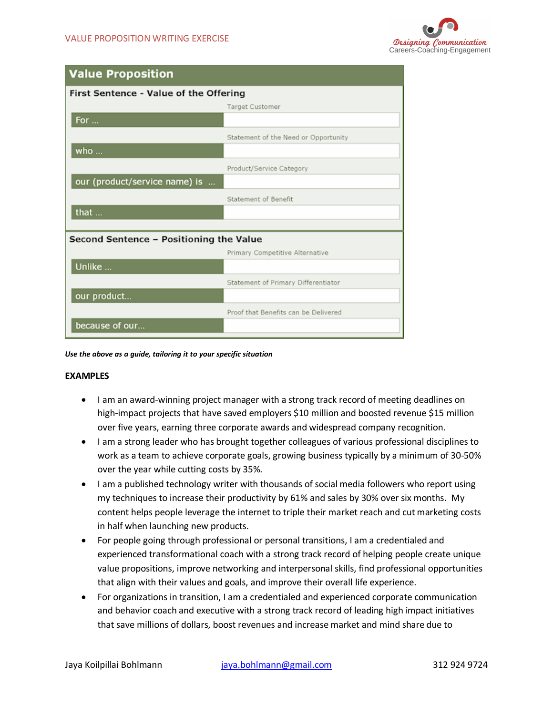

## **Value Proposition**

| First Sentence - Value of the Offering  |                                      |
|-----------------------------------------|--------------------------------------|
|                                         | <b>Target Customer</b>               |
| For                                     |                                      |
|                                         | Statement of the Need or Opportunity |
| who                                     |                                      |
|                                         | Product/Service Category             |
| our (product/service name) is           |                                      |
|                                         | Statement of Benefit                 |
| that                                    |                                      |
|                                         |                                      |
| Second Sentence - Positioning the Value |                                      |
|                                         | Primary Competitive Alternative      |
| Unlike                                  |                                      |
|                                         | Statement of Primary Differentiator  |
| our product                             |                                      |
|                                         | Proof that Benefits can be Delivered |
| because of our                          |                                      |

*Use the above as a guide, tailoring it to your specific situation*

## **EXAMPLES**

- I am an award-winning project manager with a strong track record of meeting deadlines on high-impact projects that have saved employers \$10 million and boosted revenue \$15 million over five years, earning three corporate awards and widespread company recognition.
- I am a strong leader who has brought together colleagues of various professional disciplines to work as a team to achieve corporate goals, growing business typically by a minimum of 30-50% over the year while cutting costs by 35%.
- I am a published technology writer with thousands of social media followers who report using my techniques to increase their productivity by 61% and sales by 30% over six months. My content helps people leverage the internet to triple their market reach and cut marketing costs in half when launching new products.
- For people going through professional or personal transitions, I am a credentialed and experienced transformational coach with a strong track record of helping people create unique value propositions, improve networking and interpersonal skills, find professional opportunities that align with their values and goals, and improve their overall life experience.
- For organizations in transition, I am a credentialed and experienced corporate communication and behavior coach and executive with a strong track record of leading high impact initiatives that save millions of dollars, boost revenues and increase market and mind share due to